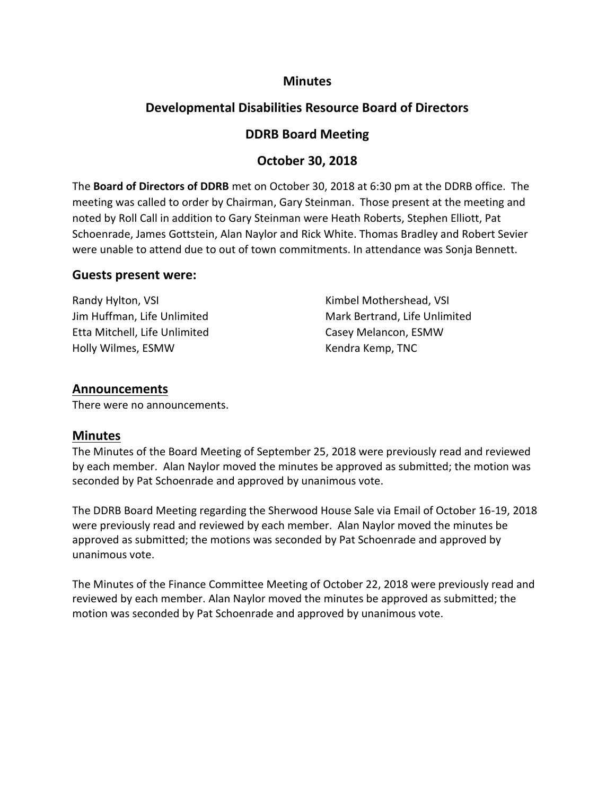## **Minutes**

## **Developmental Disabilities Resource Board of Directors**

## **DDRB Board Meeting**

## **October 30, 2018**

The **Board of Directors of DDRB** met on October 30, 2018 at 6:30 pm at the DDRB office. The meeting was called to order by Chairman, Gary Steinman. Those present at the meeting and noted by Roll Call in addition to Gary Steinman were Heath Roberts, Stephen Elliott, Pat Schoenrade, James Gottstein, Alan Naylor and Rick White. Thomas Bradley and Robert Sevier were unable to attend due to out of town commitments. In attendance was Sonja Bennett.

### **Guests present were:**

Randy Hylton, VSI **Randy Hylton, VSI Kimbel Mothershead, VSI** Etta Mitchell, Life Unlimited Casey Melancon, ESMW Holly Wilmes, ESMW **Kendra Kemp, TNC** 

Jim Huffman, Life Unlimited Mark Bertrand, Life Unlimited

## **Announcements**

There were no announcements.

## **Minutes**

The Minutes of the Board Meeting of September 25, 2018 were previously read and reviewed by each member. Alan Naylor moved the minutes be approved as submitted; the motion was seconded by Pat Schoenrade and approved by unanimous vote.

The DDRB Board Meeting regarding the Sherwood House Sale via Email of October 16-19, 2018 were previously read and reviewed by each member. Alan Naylor moved the minutes be approved as submitted; the motions was seconded by Pat Schoenrade and approved by unanimous vote.

The Minutes of the Finance Committee Meeting of October 22, 2018 were previously read and reviewed by each member. Alan Naylor moved the minutes be approved as submitted; the motion was seconded by Pat Schoenrade and approved by unanimous vote.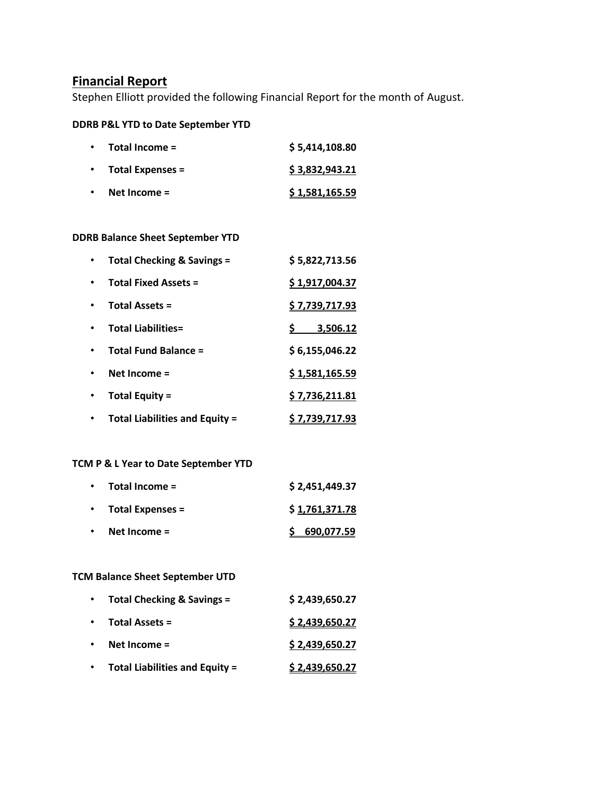## **Financial Report**

Stephen Elliott provided the following Financial Report for the month of August.

## **DDRB P&L YTD to Date September YTD**

| $\bullet$ | Total Income =          | \$5,414,108.80 |
|-----------|-------------------------|----------------|
|           | <b>Total Expenses =</b> | \$3,832,943.21 |
|           | Net Income $=$          | \$1,581,165.59 |

#### **DDRB Balance Sheet September YTD**

| <b>Total Checking &amp; Savings =</b> | \$5,822,713.56        |
|---------------------------------------|-----------------------|
| <b>Total Fixed Assets =</b>           | \$1,917,004.37        |
| <b>Total Assets =</b>                 | <u>\$7,739,717.93</u> |
| <b>Total Liabilities=</b>             | 3,506.12              |
| <b>Total Fund Balance =</b>           | \$6,155,046.22        |
| Net Income $=$                        | \$1,581,165.59        |
| Total Equity =                        | \$7,736,211.81        |
| <b>Total Liabilities and Equity =</b> | \$7,739,717.93        |

### **TCM P & L Year to Date September YTD**

|           | $\cdot$ Total Income =   | \$2,451,449.37 |
|-----------|--------------------------|----------------|
|           | $\cdot$ Total Expenses = | \$1,761,371.78 |
| $\bullet$ | Net Income $=$           | \$690,077.59   |

### **TCM Balance Sheet September UTD**

| $\bullet$ | Total Checking & Savings =            | \$2,439,650.27 |
|-----------|---------------------------------------|----------------|
| $\bullet$ | <b>Total Assets =</b>                 | \$2,439,650.27 |
|           | Net Income $=$                        | \$2,439,650.27 |
|           | <b>Total Liabilities and Equity =</b> | \$2,439,650.27 |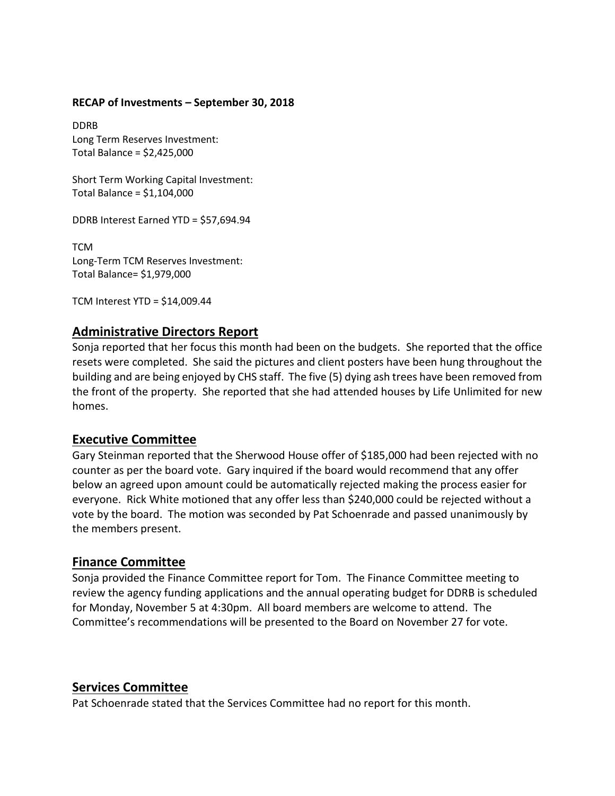#### **RECAP of Investments – September 30, 2018**

DDRB Long Term Reserves Investment: Total Balance = \$2,425,000

Short Term Working Capital Investment: Total Balance = \$1,104,000

DDRB Interest Earned YTD = \$57,694.94

TCM Long-Term TCM Reserves Investment: Total Balance= \$1,979,000

TCM Interest YTD = \$14,009.44

## **Administrative Directors Report**

Sonja reported that her focus this month had been on the budgets. She reported that the office resets were completed. She said the pictures and client posters have been hung throughout the building and are being enjoyed by CHS staff. The five (5) dying ash trees have been removed from the front of the property. She reported that she had attended houses by Life Unlimited for new homes.

## **Executive Committee**

Gary Steinman reported that the Sherwood House offer of \$185,000 had been rejected with no counter as per the board vote. Gary inquired if the board would recommend that any offer below an agreed upon amount could be automatically rejected making the process easier for everyone. Rick White motioned that any offer less than \$240,000 could be rejected without a vote by the board. The motion was seconded by Pat Schoenrade and passed unanimously by the members present.

## **Finance Committee**

Sonja provided the Finance Committee report for Tom. The Finance Committee meeting to review the agency funding applications and the annual operating budget for DDRB is scheduled for Monday, November 5 at 4:30pm. All board members are welcome to attend. The Committee's recommendations will be presented to the Board on November 27 for vote.

## **Services Committee**

Pat Schoenrade stated that the Services Committee had no report for this month.